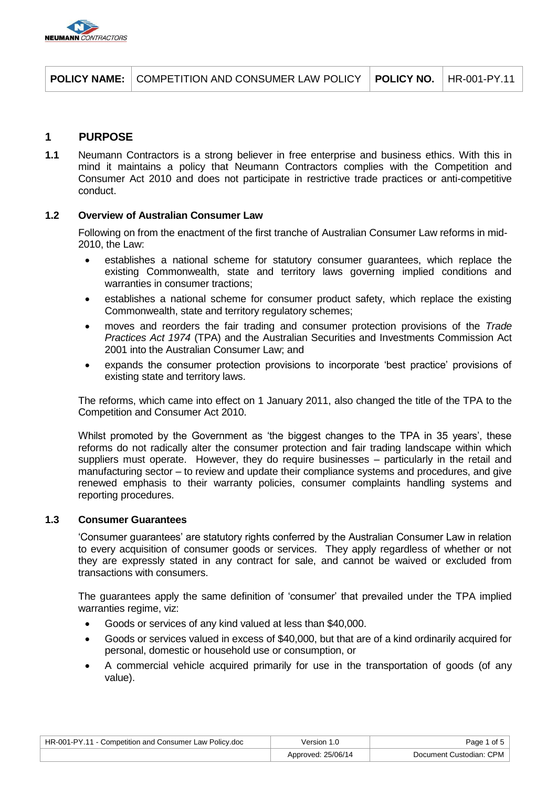

|  | <b>POLICY NAME:</b> COMPETITION AND CONSUMER LAW POLICY   POLICY NO.   HR-001-PY.11 |  |  |
|--|-------------------------------------------------------------------------------------|--|--|
|--|-------------------------------------------------------------------------------------|--|--|

# **1 PURPOSE**

**1.1** Neumann Contractors is a strong believer in free enterprise and business ethics. With this in mind it maintains a policy that Neumann Contractors complies with the Competition and Consumer Act 2010 and does not participate in restrictive trade practices or anti-competitive conduct.

# **1.2 Overview of Australian Consumer Law**

Following on from the enactment of the first tranche of Australian Consumer Law reforms in mid-2010, the Law:

- establishes a national scheme for statutory consumer guarantees, which replace the existing Commonwealth, state and territory laws governing implied conditions and warranties in consumer tractions;
- establishes a national scheme for consumer product safety, which replace the existing Commonwealth, state and territory regulatory schemes;
- moves and reorders the fair trading and consumer protection provisions of the Trade Practices Act 1974 (TPA) and the Australian Securities and Investments Commission Act 2001 into the Australian Consumer Law; and
- expands the consumer protection provisions to incorporate 'best practice' provisions of existing state and territory laws.

The reforms, which came into effect on 1 January 2011, also changed the title of the TPA to the Competition and Consumer Act 2010.

Whilst promoted by the Government as 'the biggest changes to the TPA in 35 years', these reforms do not radically alter the consumer protection and fair trading landscape within which suppliers must operate. However, they do require businesses – particularly in the retail and manufacturing sector – to review and update their compliance systems and procedures, and give renewed emphasis to their warranty policies, consumer complaints handling systems and reporting procedures.

### **1.3 Consumer Guarantees**

'Consumer guarantees' are statutory rights conferred by the Australian Consumer Law in relation to every acquisition of consumer goods or services. They apply regardless of whether or not they are expressly stated in any contract for sale, and cannot be waived or excluded from transactions with consumers.

The guarantees apply the same definition of 'consumer' that prevailed under the TPA implied warranties regime, viz:

- Goods or services of any kind valued at less than \$40,000.
- Goods or services valued in excess of \$40,000, but that are of a kind ordinarily acquired for personal, domestic or household use or consumption, or
- A commercial vehicle acquired primarily for use in the transportation of goods (of any value).

| HR-001-PY.11 - Competition and Consumer Law Policy.doc | Version 1.0        | Page 1 of 5             |
|--------------------------------------------------------|--------------------|-------------------------|
|                                                        | Approved: 25/06/14 | Document Custodian: CPM |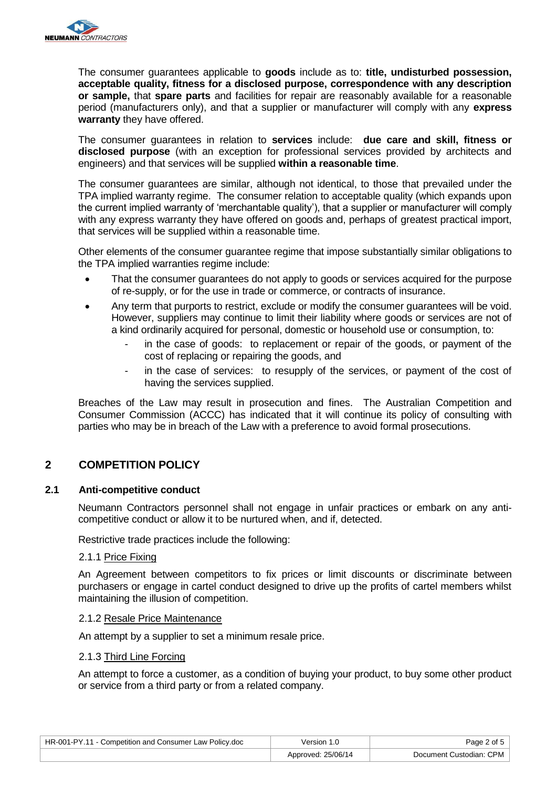

The consumer guarantees applicable to **goods** include as to: **title, undisturbed possession, acceptable quality, fitness for a disclosed purpose, correspondence with any description or sample,** that **spare parts** and facilities for repair are reasonably available for a reasonable period (manufacturers only), and that a supplier or manufacturer will comply with any **express warranty** they have offered.

The consumer guarantees in relation to **services** include: **due care and skill, fitness or disclosed purpose** (with an exception for professional services provided by architects and engineers) and that services will be supplied **within a reasonable time**.

The consumer guarantees are similar, although not identical, to those that prevailed under the TPA implied warranty regime. The consumer relation to acceptable quality (which expands upon the current implied warranty of 'merchantable quality'), that a supplier or manufacturer will comply with any express warranty they have offered on goods and, perhaps of greatest practical import, that services will be supplied within a reasonable time.

Other elements of the consumer guarantee regime that impose substantially similar obligations to the TPA implied warranties regime include:

- That the consumer guarantees do not apply to goods or services acquired for the purpose of re-supply, or for the use in trade or commerce, or contracts of insurance.
- Any term that purports to restrict, exclude or modify the consumer guarantees will be void. However, suppliers may continue to limit their liability where goods or services are not of a kind ordinarily acquired for personal, domestic or household use or consumption, to:
	- in the case of goods: to replacement or repair of the goods, or payment of the cost of replacing or repairing the goods, and
	- in the case of services: to resupply of the services, or payment of the cost of having the services supplied.

Breaches of the Law may result in prosecution and fines. The Australian Competition and Consumer Commission (ACCC) has indicated that it will continue its policy of consulting with parties who may be in breach of the Law with a preference to avoid formal prosecutions.

# **2 COMPETITION POLICY**

# **2.1 Anti-competitive conduct**

Neumann Contractors personnel shall not engage in unfair practices or embark on any anticompetitive conduct or allow it to be nurtured when, and if, detected.

Restrictive trade practices include the following:

# 2.1.1 Price Fixing

An Agreement between competitors to fix prices or limit discounts or discriminate between purchasers or engage in cartel conduct designed to drive up the profits of cartel members whilst maintaining the illusion of competition.

### 2.1.2 Resale Price Maintenance

An attempt by a supplier to set a minimum resale price.

### 2.1.3 Third Line Forcing

An attempt to force a customer, as a condition of buying your product, to buy some other product or service from a third party or from a related company.

| HR-001-PY.11 - Competition and Consumer Law Policy.doc | ∨ersion 1.0        | Page 2 of 5             |
|--------------------------------------------------------|--------------------|-------------------------|
|                                                        | Approved: 25/06/14 | Document Custodian: CPM |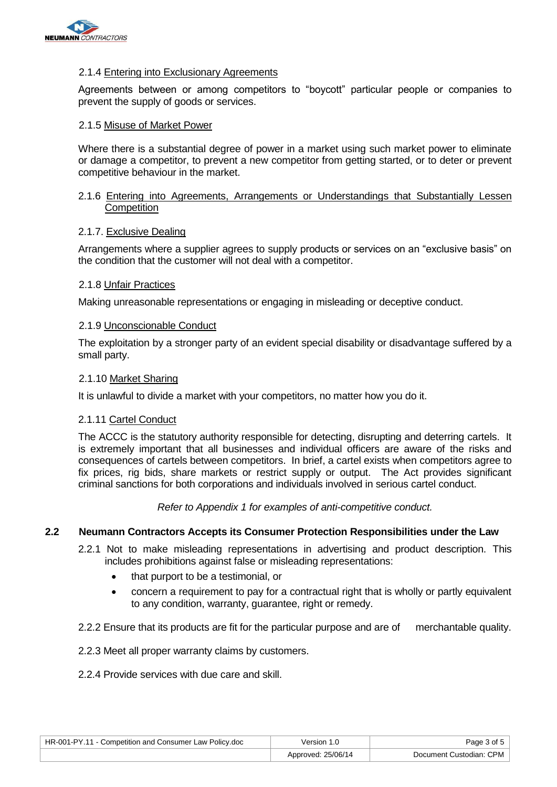

### 2.1.4 Entering into Exclusionary Agreements

Agreements between or among competitors to "boycott" particular people or companies to prevent the supply of goods or services.

### 2.1.5 Misuse of Market Power

Where there is a substantial degree of power in a market using such market power to eliminate or damage a competitor, to prevent a new competitor from getting started, or to deter or prevent competitive behaviour in the market.

### 2.1.6 Entering into Agreements, Arrangements or Understandings that Substantially Lessen **Competition**

### 2.1.7. Exclusive Dealing

Arrangements where a supplier agrees to supply products or services on an "exclusive basis" on the condition that the customer will not deal with a competitor.

### 2.1.8 Unfair Practices

Making unreasonable representations or engaging in misleading or deceptive conduct.

#### 2.1.9 Unconscionable Conduct

The exploitation by a stronger party of an evident special disability or disadvantage suffered by a small party.

#### 2.1.10 Market Sharing

It is unlawful to divide a market with your competitors, no matter how you do it.

### 2.1.11 Cartel Conduct

The ACCC is the statutory authority responsible for detecting, disrupting and deterring cartels. It is extremely important that all businesses and individual officers are aware of the risks and consequences of cartels between competitors. In brief, a cartel exists when competitors agree to fix prices, rig bids, share markets or restrict supply or output. The Act provides significant criminal sanctions for both corporations and individuals involved in serious cartel conduct.

Refer to Appendix 1 for examples of anti-competitive conduct.

### **2.2 Neumann Contractors Accepts its Consumer Protection Responsibilities under the Law**

- 2.2.1 Not to make misleading representations in advertising and product description. This includes prohibitions against false or misleading representations:
	- that purport to be a testimonial, or
	- concern a requirement to pay for a contractual right that is wholly or partly equivalent to any condition, warranty, guarantee, right or remedy.
- 2.2.2 Ensure that its products are fit for the particular purpose and are of merchantable quality.
- 2.2.3 Meet all proper warranty claims by customers.
- 2.2.4 Provide services with due care and skill.

| HR-001-PY.11 - Competition and Consumer Law Policy.doc | Version 1.0        | Page 3 of 5             |
|--------------------------------------------------------|--------------------|-------------------------|
|                                                        | Approved: 25/06/14 | Document Custodian: CPM |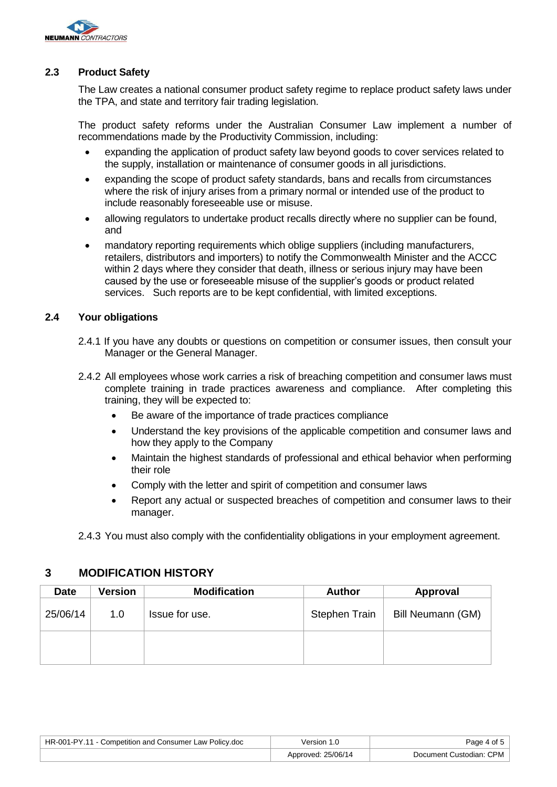

# **2.3 Product Safety**

The Law creates a national consumer product safety regime to replace product safety laws under the TPA, and state and territory fair trading legislation.

The product safety reforms under the Australian Consumer Law implement a number of recommendations made by the Productivity Commission, including:

- expanding the application of product safety law beyond goods to cover services related to the supply, installation or maintenance of consumer goods in all jurisdictions.
- expanding the scope of product safety standards, bans and recalls from circumstances where the risk of injury arises from a primary normal or intended use of the product to include reasonably foreseeable use or misuse.
- allowing regulators to undertake product recalls directly where no supplier can be found, and
- mandatory reporting requirements which oblige suppliers (including manufacturers, retailers, distributors and importers) to notify the Commonwealth Minister and the ACCC within 2 days where they consider that death, illness or serious injury may have been caused by the use or foreseeable misuse of the supplier's goods or product related services. Such reports are to be kept confidential, with limited exceptions.

# **2.4 Your obligations**

- 2.4.1 If you have any doubts or questions on competition or consumer issues, then consult your Manager or the General Manager.
- 2.4.2 All employees whose work carries a risk of breaching competition and consumer laws must complete training in trade practices awareness and compliance. After completing this training, they will be expected to:
	- Be aware of the importance of trade practices compliance
	- Understand the key provisions of the applicable competition and consumer laws and how they apply to the Company
	- Maintain the highest standards of professional and ethical behavior when performing their role
	- Comply with the letter and spirit of competition and consumer laws
	- Report any actual or suspected breaches of competition and consumer laws to their manager.

2.4.3 You must also comply with the confidentiality obligations in your employment agreement.

# **3 MODIFICATION HISTORY**

| <b>Date</b> | <b>Version</b> | <b>Modification</b> | <b>Author</b> | Approval          |
|-------------|----------------|---------------------|---------------|-------------------|
| 25/06/14    | 1.0            | Issue for use.      | Stephen Train | Bill Neumann (GM) |
|             |                |                     |               |                   |

| HR-001-PY.11 - Competition and Consumer Law Policy.doc | Version 1.0        | Page 4 of 5             |
|--------------------------------------------------------|--------------------|-------------------------|
|                                                        | Approved: 25/06/14 | Document Custodian: CPM |